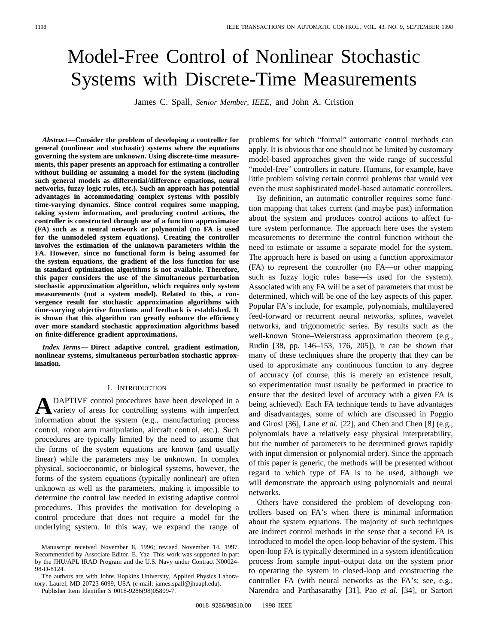# Model-Free Control of Nonlinear Stochastic Systems with Discrete-Time Measurements

James C. Spall, *Senior Member, IEEE*, and John A. Cristion

*Abstract—***Consider the problem of developing a controller for general (nonlinear and stochastic) systems where the equations governing the system are unknown. Using discrete-time measurements, this paper presents an approach for estimating a controller without building or assuming a model for the system (including such general models as differential/difference equations, neural networks, fuzzy logic rules, etc.). Such an approach has potential advantages in accommodating complex systems with possibly time-varying dynamics. Since control requires some mapping, taking system information, and producing control actions, the controller is constructed through use of a function approximator (FA) such as a neural network or polynomial (no FA is used for the unmodeled system equations). Creating the controller involves the estimation of the unknown parameters within the FA. However, since no functional form is being assumed for the system equations, the gradient of the loss function for use in standard optimization algorithms is not available. Therefore, this paper considers the use of the simultaneous perturbation stochastic approximation algorithm, which requires only system measurements (not a system model). Related to this, a convergence result for stochastic approximation algorithms with time-varying objective functions and feedback is established. It is shown that this algorithm can greatly enhance the efficiency over more standard stochastic approximation algorithms based on finite-difference gradient approximations.**

*Index Terms—* **Direct adaptive control, gradient estimation, nonlinear systems, simultaneous perturbation stochastic approximation.**

## I. INTRODUCTION

**A** DAPTIVE control procedures have been developed in a variety of areas for controlling systems with imperfect information about the system (e.g., manufacturing process control, robot arm manipulation, aircraft control, etc.). Such procedures are typically limited by the need to assume that the forms of the system equations are known (and usually linear) while the parameters may be unknown. In complex physical, socioeconomic, or biological systems, however, the forms of the system equations (typically nonlinear) are often unknown as well as the parameters, making it impossible to determine the control law needed in existing adaptive control procedures. This provides the motivation for developing a control procedure that does not require a model for the underlying system. In this way, we expand the range of

The authors are with Johns Hopkins University, Applied Physics Laboratory, Laurel, MD 20723-6099, USA (e-mail: james.spall@jhuapl.edu).

Publisher Item Identifier S 0018-9286(98)05809-7.

problems for which "formal" automatic control methods can apply. It is obvious that one should not be limited by customary model-based approaches given the wide range of successful "model-free" controllers in nature. Humans, for example, have little problem solving certain control problems that would vex even the must sophisticated model-based automatic controllers.

By definition, an automatic controller requires some function mapping that takes current (and maybe past) information about the system and produces control actions to affect future system performance. The approach here uses the system measurements to determine the control function without the need to estimate or assume a separate model for the system. The approach here is based on using a function approximator (FA) to represent the controller (no FA—or other mapping such as fuzzy logic rules base—is used for the system). Associated with any FA will be a set of parameters that must be determined, which will be one of the key aspects of this paper. Popular FA's include, for example, polynomials, multilayered feed-forward or recurrent neural networks, splines, wavelet networks, and trigonometric series. By results such as the well-known Stone–Weierstrass approximation theorem (e.g., Rudin [38, pp. 146–153, 176, 205]), it can be shown that many of these techniques share the property that they can be used to approximate any continuous function to any degree of accuracy (of course, this is merely an existence result, so experimentation must usually be performed in practice to ensure that the desired level of accuracy with a given FA is being achieved). Each FA technique tends to have advantages and disadvantages, some of which are discussed in Poggio and Girosi [36], Lane *et al.* [22], and Chen and Chen [8] (e.g., polynomials have a relatively easy physical interpretability, but the number of parameters to be determined grows rapidly with input dimension or polynomial order). Since the approach of this paper is generic, the methods will be presented without regard to which type of FA is to be used, although we will demonstrate the approach using polynomials and neural networks.

Others have considered the problem of developing controllers based on FA's when there is minimal information about the system equations. The majority of such techniques are indirect control methods in the sense that a second FA is introduced to model the open-loop behavior of the system. This open-loop FA is typically determined in a system identification process from sample input–output data on the system prior to operating the system in closed-loop and constructing the controller FA (with neural networks as the FA's; see, e.g., Narendra and Parthasarathy [31], Pao *et al.* [34], or Sartori

Manuscript received November 8, 1996; revised November 14, 1997. Recommended by Associate Editor, E. Yaz. This work was supported in part by the JHU/APL IRAD Program and the U.S. Navy under Contract N00024- 98-D-8124.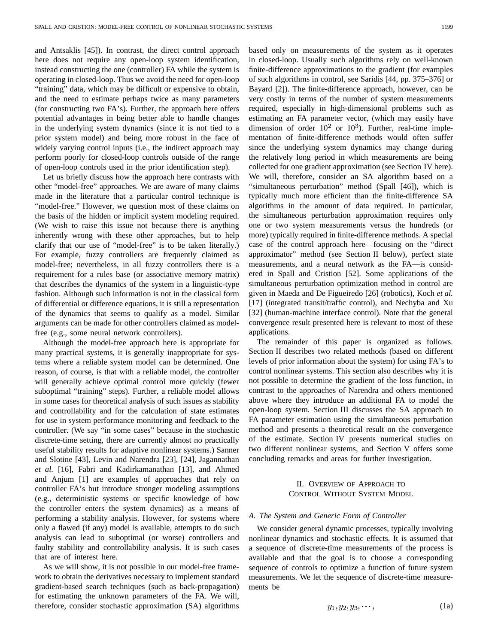and Antsaklis [45]). In contrast, the direct control approach here does not require any open-loop system identification, instead constructing the one (controller) FA while the system is operating in closed-loop. Thus we avoid the need for open-loop "training" data, which may be difficult or expensive to obtain, and the need to estimate perhaps twice as many parameters (for constructing two FA's). Further, the approach here offers potential advantages in being better able to handle changes in the underlying system dynamics (since it is not tied to a prior system model) and being more robust in the face of widely varying control inputs (i.e., the indirect approach may perform poorly for closed-loop controls outside of the range of open-loop controls used in the prior identification step).

Let us briefly discuss how the approach here contrasts with other "model-free" approaches. We are aware of many claims made in the literature that a particular control technique is "model-free." However, we question most of these claims on the basis of the hidden or implicit system modeling required. (We wish to raise this issue not because there is anything inherently wrong with these other approaches, but to help clarify that our use of "model-free" is to be taken literally.) For example, fuzzy controllers are frequently claimed as model-free; nevertheless, in all fuzzy controllers there is a requirement for a rules base (or associative memory matrix) that describes the dynamics of the system in a linguistic-type fashion. Although such information is not in the classical form of differential or difference equations, it is still a representation of the dynamics that seems to qualify as a model. Similar arguments can be made for other controllers claimed as modelfree (e.g., some neural network controllers).

Although the model-free approach here is appropriate for many practical systems, it is generally inappropriate for systems where a reliable system model can be determined. One reason, of course, is that with a reliable model, the controller will generally achieve optimal control more quickly (fewer suboptimal "training" steps). Further, a reliable model allows in some cases for theoretical analysis of such issues as stability and controllability and for the calculation of state estimates for use in system performance monitoring and feedback to the controller. (We say "in some cases" because in the stochastic discrete-time setting, there are currently almost no practically useful stability results for adaptive nonlinear systems.) Sanner and Slotine [43], Levin and Narendra [23], [24], Jagannathan *et al.* [16], Fabri and Kadirkamanathan [13], and Ahmed and Anjum [1] are examples of approaches that rely on controller FA's but introduce stronger modeling assumptions (e.g., deterministic systems or specific knowledge of how the controller enters the system dynamics) as a means of performing a stability analysis. However, for systems where only a flawed (if any) model is available, attempts to do such analysis can lead to suboptimal (or worse) controllers and faulty stability and controllability analysis. It is such cases that are of interest here.

As we will show, it is not possible in our model-free framework to obtain the derivatives necessary to implement standard gradient-based search techniques (such as back-propagation) for estimating the unknown parameters of the FA. We will, therefore, consider stochastic approximation (SA) algorithms based only on measurements of the system as it operates in closed-loop. Usually such algorithms rely on well-known finite-difference approximations to the gradient (for examples of such algorithms in control, see Saridis [44, pp. 375–376] or Bayard [2]). The finite-difference approach, however, can be very costly in terms of the number of system measurements required, especially in high-dimensional problems such as estimating an FA parameter vector, (which may easily have dimension of order  $10^2$  or  $10^3$ ). Further, real-time implementation of finite-difference methods would often suffer since the underlying system dynamics may change during the relatively long period in which measurements are being collected for one gradient approximation (see Section IV here). We will, therefore, consider an SA algorithm based on a "simultaneous perturbation" method (Spall [46]), which is typically much more efficient than the finite-difference SA algorithms in the amount of data required. In particular, the simultaneous perturbation approximation requires only one or two system measurements versus the hundreds (or more) typically required in finite-difference methods. A special case of the control approach here—focusing on the "direct approximator" method (see Section II below), perfect state measurements, and a neural network as the FA—is considered in Spall and Cristion [52]. Some applications of the simultaneous perturbation optimization method in control are given in Maeda and De Figueiredo [26] (robotics), Koch *et al.* [17] (integrated transit/traffic control), and Nechyba and Xu [32] (human-machine interface control). Note that the general convergence result presented here is relevant to most of these applications.

The remainder of this paper is organized as follows. Section II describes two related methods (based on different levels of prior information about the system) for using FA's to control nonlinear systems. This section also describes why it is not possible to determine the gradient of the loss function, in contrast to the approaches of Narendra and others mentioned above where they introduce an additional FA to model the open-loop system. Section III discusses the SA approach to FA parameter estimation using the simultaneous perturbation method and presents a theoretical result on the convergence of the estimate. Section IV presents numerical studies on two different nonlinear systems, and Section V offers some concluding remarks and areas for further investigation.

# II. OVERVIEW OF APPROACH TO CONTROL WITHOUT SYSTEM MODEL

# *A. The System and Generic Form of Controller*

We consider general dynamic processes, typically involving nonlinear dynamics and stochastic effects. It is assumed that a sequence of discrete-time measurements of the process is available and that the goal is to choose a corresponding sequence of controls to optimize a function of future system measurements. We let the sequence of discrete-time measurements be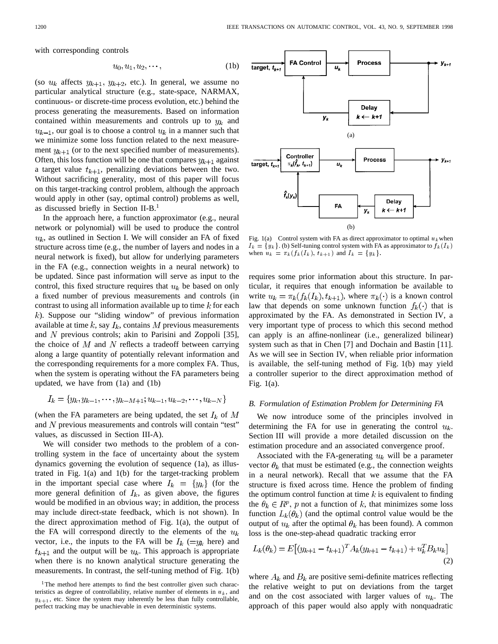with corresponding controls

$$
u_0, u_1, u_2, \cdots,
$$
 (1b)

(so  $u_k$  affects  $y_{k+1}$ ,  $y_{k+2}$ , etc.). In general, we assume no particular analytical structure (e.g., state-space, NARMAX, continuous- or discrete-time process evolution, etc.) behind the process generating the measurements. Based on information contained within measurements and controls up to  $y_k$  and  $u_{k-1}$ , our goal is to choose a control  $u_k$  in a manner such that we minimize some loss function related to the next measurement  $y_{k+1}$  (or to the next specified number of measurements). Often, this loss function will be one that compares  $y_{k+1}$  against a target value  $t_{k+1}$ , penalizing deviations between the two. Without sacrificing generality, most of this paper will focus on this target-tracking control problem, although the approach would apply in other (say, optimal control) problems as well, as discussed briefly in Section II-B.1

In the approach here, a function approximator (e.g., neural network or polynomial) will be used to produce the control  $u_k$ , as outlined in Section I. We will consider an FA of fixed structure across time (e.g., the number of layers and nodes in a neural network is fixed), but allow for underlying parameters in the FA (e.g., connection weights in a neural network) to be updated. Since past information will serve as input to the control, this fixed structure requires that  $u_k$  be based on only a fixed number of previous measurements and controls (in contrast to using all information available up to time  $k$  for each  $k$ ). Suppose our "sliding window" of previous information available at time  $k$ , say  $I_k$ , contains M previous measurements and  $N$  previous controls; akin to Parisini and Zoppoli [35], the choice of  $M$  and  $N$  reflects a tradeoff between carrying along a large quantity of potentially relevant information and the corresponding requirements for a more complex FA. Thus, when the system is operating without the FA parameters being updated, we have from (1a) and (1b)

$$
I_k = \{y_k, y_{k-1}, \dots, y_{k-M+1}; u_{k-1}, u_{k-2}, \dots, u_{k-N}\}\
$$

(when the FA parameters are being updated, the set  $I_k$  of  $M$ and  $N$  previous measurements and controls will contain "test" values, as discussed in Section III-A).

We will consider two methods to the problem of a controlling system in the face of uncertainty about the system dynamics governing the evolution of sequence (1a), as illustrated in Fig. 1(a) and 1(b) for the target-tracking problem in the important special case where  $I_k = \{y_k\}$  (for the more general definition of  $I_k$ , as given above, the figures would be modified in an obvious way; in addition, the process may include direct-state feedback, which is not shown). In the direct approximation method of Fig. 1(a), the output of the FA will correspond directly to the elements of the  $u_k$ vector, i.e., the inputs to the FA will be  $I_k$  (= $y_k$  here) and  $t_{k+1}$  and the output will be  $u_k$ . This approach is appropriate when there is no known analytical structure generating the measurements. In contrast, the self-tuning method of Fig. 1(b)



Fig. 1(a) Control system with FA as direct approximator to optimal  $u_k$  when  $I_k = \{y_k\}$ . (b) Self-tuning control system with FA as approximator to  $f_k(I_k)$ when  $u_k = \pi_k(f_k(I_k), t_{k+1})$  and  $I_k = \{y_k\}.$ 

requires some prior information about this structure. In particular, it requires that enough information be available to write  $u_k = \pi_k(f_k(I_k), t_{k+1})$ , where  $\pi_k(\cdot)$  is a known control law that depends on some unknown function  $f_k(\cdot)$  that is approximated by the FA. As demonstrated in Section IV, a very important type of process to which this second method can apply is an affine-nonlinear (i.e., generalized bilinear) system such as that in Chen [7] and Dochain and Bastin [11]. As we will see in Section IV, when reliable prior information is available, the self-tuning method of Fig. 1(b) may yield a controller superior to the direct approximation method of Fig. 1(a).

## *B. Formulation of Estimation Problem for Determining FA*

We now introduce some of the principles involved in determining the FA for use in generating the control  $u_k$ . Section III will provide a more detailed discussion on the estimation procedure and an associated convergence proof.

Associated with the FA-generating  $u_k$  will be a parameter vector  $\theta_k$  that must be estimated (e.g., the connection weights in a neural network). Recall that we assume that the FA structure is fixed across time. Hence the problem of finding the optimum control function at time  $k$  is equivalent to finding the  $\theta_k \in \mathbb{R}^p$ , p not a function of k, that minimizes some loss function  $L_k(\theta_k)$  (and the optimal control value would be the output of  $u_k$  after the optimal  $\theta_k$  has been found). A common loss is the one-step-ahead quadratic tracking error

$$
L_k(\theta_k) = E\big[(y_{k+1} - t_{k+1})^T A_k (y_{k+1} - t_{k+1}) + u_k^T B_k u_k\big] \tag{2}
$$

where  $A_k$  and  $B_k$  are positive semi-definite matrices reflecting the relative weight to put on deviations from the target and on the cost associated with larger values of  $u_k$ . The approach of this paper would also apply with nonquadratic

<sup>&</sup>lt;sup>1</sup>The method here attempts to find the best controller given such characteristics as degree of controllability, relative number of elements in  $u<sub>k</sub>$ , and  $y_{k+1}$ , etc. Since the system may inherently be less than fully controllable, perfect tracking may be unachievable in even deterministic systems.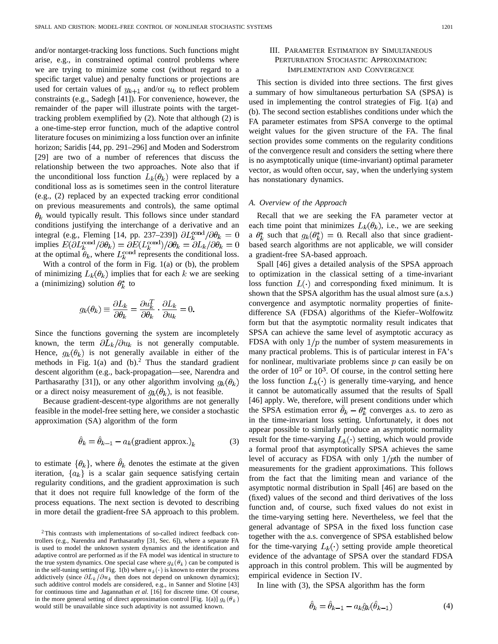and/or nontarget-tracking loss functions. Such functions might arise, e.g., in constrained optimal control problems where we are trying to minimize some cost (without regard to a specific target value) and penalty functions or projections are used for certain values of  $y_{k+1}$  and/or  $u_k$  to reflect problem constraints (e.g., Sadegh [41]). For convenience, however, the remainder of the paper will illustrate points with the targettracking problem exemplified by (2). Note that although (2) is a one-time-step error function, much of the adaptive control literature focuses on minimizing a loss function over an infinite horizon; Saridis [44, pp. 291–296] and Moden and Soderstrom [29] are two of a number of references that discuss the relationship between the two approaches. Note also that if the unconditional loss function  $L_k(\theta_k)$  were replaced by a conditional loss as is sometimes seen in the control literature (e.g., (2) replaced by an expected tracking error conditional on previous measurements and controls), the same optimal  $\theta_k$  would typically result. This follows since under standard conditions justifying the interchange of a derivative and an integral (e.g., Fleming [14, pp. 237–239])  $\partial L_k^{\text{cond}}/\partial \theta_k = 0$ implies at the optimal  $\theta_k$ , where  $L_k^{\text{cond}}$  represents the conditional loss.

With a control of the form in Fig. 1(a) or (b), the problem of minimizing  $L_k(\theta_k)$  implies that for each k we are seeking a (minimizing) solution  $\theta_k^*$  to

$$
g_k(\theta_k) \equiv \frac{\partial L_k}{\partial \theta_k} = \frac{\partial u_k^T}{\partial \theta_k} \cdot \frac{\partial L_k}{\partial u_k} = 0.
$$

Since the functions governing the system are incompletely known, the term  $\partial L_k / \partial u_k$  is not generally computable. Hence,  $g_k(\theta_k)$  is not generally available in either of the methods in Fig.  $1(a)$  and  $(b)$ .<sup>2</sup> Thus the standard gradient descent algorithm (e.g., back-propagation—see, Narendra and Parthasarathy [31]), or any other algorithm involving  $q_k(\theta_k)$ or a direct noisy measurement of  $g_k(\theta_k)$ , is not feasible.

Because gradient-descent-type algorithms are not generally feasible in the model-free setting here, we consider a stochastic approximation (SA) algorithm of the form

$$
\theta_k = \theta_{k-1} - a_k(\text{gradient approx.})_k \tag{3}
$$

to estimate  $\{\theta_k\}$ , where  $\hat{\theta}_k$  denotes the estimate at the given iteration,  $\{a_k\}$  is a scalar gain sequence satisfying certain regularity conditions, and the gradient approximation is such that it does not require full knowledge of the form of the process equations. The next section is devoted to describing in more detail the gradient-free SA approach to this problem.

## III. PARAMETER ESTIMATION BY SIMULTANEOUS PERTURBATION STOCHASTIC APPROXIMATION: IMPLEMENTATION AND CONVERGENCE

This section is divided into three sections. The first gives a summary of how simultaneous perturbation SA (SPSA) is used in implementing the control strategies of Fig. 1(a) and (b). The second section establishes conditions under which the FA parameter estimates from SPSA converge to the optimal weight values for the given structure of the FA. The final section provides some comments on the regularity conditions of the convergence result and considers the setting where there is no asymptotically unique (time-invariant) optimal parameter vector, as would often occur, say, when the underlying system has nonstationary dynamics.

## *A. Overview of the Approach*

Recall that we are seeking the FA parameter vector at each time point that minimizes  $L_k(\theta_k)$ , i.e., we are seeking a  $\theta_k^*$  such that  $g_k(\theta_k^*) = 0$ . Recall also that since gradientbased search algorithms are not applicable, we will consider a gradient-free SA-based approach.

Spall [46] gives a detailed analysis of the SPSA approach to optimization in the classical setting of a time-invariant loss function  $L(\cdot)$  and corresponding fixed minimum. It is shown that the SPSA algorithm has the usual almost sure (a.s.) convergence and asymptotic normality properties of finitedifference SA (FDSA) algorithms of the Kiefer–Wolfowitz form but that the asymptotic normality result indicates that SPSA can achieve the same level of asymptotic accuracy as FDSA with only  $1/p$  the number of system measurements in many practical problems. This is of particular interest in FA's for nonlinear, multivariate problems since  $p$  can easily be on the order of  $10^2$  or  $10^3$ . Of course, in the control setting here the loss function  $L_k(\cdot)$  is generally time-varying, and hence it cannot be automatically assumed that the results of Spall [46] apply. We, therefore, will present conditions under which the SPSA estimation error  $\hat{\theta}_k - \theta_k^*$  converges a.s. to zero as in the time-invariant loss setting. Unfortunately, it does not appear possible to similarly produce an asymptotic normality result for the time-varying  $L_k(\cdot)$  setting, which would provide a formal proof that asymptotically SPSA achieves the same level of accuracy as FDSA with only  $1/$ *pth* the number of measurements for the gradient approximations. This follows from the fact that the limiting mean and variance of the asymptotic normal distribution in Spall [46] are based on the (fixed) values of the second and third derivatives of the loss function and, of course, such fixed values do not exist in the time-varying setting here. Nevertheless, we feel that the general advantage of SPSA in the fixed loss function case together with the a.s. convergence of SPSA established below for the time-varying  $L_k(\cdot)$  setting provide ample theoretical evidence of the advantage of SPSA over the standard FDSA approach in this control problem. This will be augmented by empirical evidence in Section IV.

In line with (3), the SPSA algorithm has the form

$$
\hat{\theta}_k = \hat{\theta}_{k-1} - a_k \hat{g}_k(\hat{\theta}_{k-1})
$$
\n(4)

<sup>2</sup>This contrasts with implementations of so-called indirect feedback controllers (e.g., Narendra and Parthasarathy [31, Sec. 6]), where a separate FA is used to model the unknown system dynamics and the identification and adaptive control are performed as if the FA model was identical in structure to adaptive control are performed as if the FA model was identical in structure to<br>the true system dynamics. One special case where  $g_k(\theta_k)$  can be computed is<br>in the self-tuning setting of Fig. 1(b) where  $u_k(\cdot)$  is known t addictively (since  $\partial L_k/\partial u_k$  then does not depend on unknown dynamics); such additive control models are considered, e.g., in Sanner and Slotine [43] for continuous time and Jagannathan *et al.* [16] for discrete time. Of course, in the more general setting of direct approximation control [Fig. 1(a)]  $g_k(\theta_k)$ would still be unavailable since such adaptivity is not assumed known.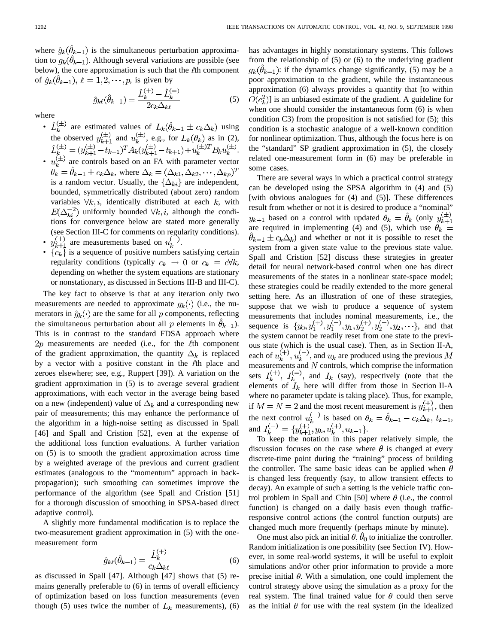where  $\hat{g}_k(\hat{\theta}_{k-1})$  is the simultaneous perturbation approximation to  $g_k(\hat{\theta}_{k-1})$ . Although several variations are possible (see below), the core approximation is such that the  $\ell$ th component of  $\hat{g}_k(\hat{\theta}_{k-1}), \ell = 1, 2, \cdots, p$ , is given by

$$
\hat{g}_{k\ell}(\hat{\theta}_{k-1}) = \frac{\hat{L}_{k}^{(+)} - \hat{L}_{k}^{(-)}}{2c_{k}\Delta_{k\ell}} \tag{5}
$$

.

where

- $\hat{L}_k^{(\pm)}$  are estimated values of  $L_k(\hat{\theta}_{k-1} \pm c_k \Delta_k)$  using the observed  $y_{k+1}^{(\pm)}$  and  $u_k^{(\pm)}$ , e.g., for  $L_k(\theta_k)$  as in (2),
- $u_k^{(\pm)}$  are controls based on an FA with parameter vector , where is a random vector. Usually, the  $\{\Delta_{ki}\}\$ are independent, bounded, symmetrically distributed (about zero) random variables  $\forall k, i$ , identically distributed at each  $k$ , with  $E(\Delta_{ki}^{-2})$  uniformly bounded  $\forall k, i$ , although the conditions for convergence below are stated more generally (see Section III-C for comments on regularity conditions).
- $y_{k+1}^{(\pm)}$  are measurements based on  $u_k^{(\pm)}$ .
- $\{c_k\}$  is a sequence of positive numbers satisfying certain regularity conditions (typically  $c_k \rightarrow 0$  or  $c_k = c \forall k$ , depending on whether the system equations are stationary or nonstationary, as discussed in Sections III-B and III-C).

The key fact to observe is that at any iteration only two measurements are needed to approximate  $g_k(\cdot)$  (i.e., the numerators in  $\hat{g}_k(\cdot)$  are the same for all p components, reflecting the simultaneous perturbation about all p elements in  $\hat{\theta}_{k-1}$ ). This is in contrast to the standard FDSA approach where  $2p$  measurements are needed (i.e., for the  $\ell$ th component of the gradient approximation, the quantity  $\Delta_k$  is replaced by a vector with a positive constant in the  $\ell$ th place and zeroes elsewhere; see, e.g., Ruppert [39]). A variation on the gradient approximation in (5) is to average several gradient approximations, with each vector in the average being based on a new (independent) value of  $\Delta_k$  and a corresponding new pair of measurements; this may enhance the performance of the algorithm in a high-noise setting as discussed in Spall [46] and Spall and Cristion [52], even at the expense of the additional loss function evaluations. A further variation on (5) is to smooth the gradient approximation across time by a weighted average of the previous and current gradient estimates (analogous to the "momentum" approach in backpropagation); such smoothing can sometimes improve the performance of the algorithm (see Spall and Cristion [51] for a thorough discussion of smoothing in SPSA-based direct adaptive control).

A slightly more fundamental modification is to replace the two-measurement gradient approximation in (5) with the onemeasurement form

$$
\hat{g}_{k\ell}(\hat{\theta}_{k-1}) = \frac{\hat{L}_k^{(+)}}{c_k \Delta_{k\ell}} \tag{6}
$$

as discussed in Spall [47]. Although [47] shows that (5) remains generally preferable to (6) in terms of overall efficiency of optimization based on loss function measurements (even though (5) uses twice the number of  $L_k$  measurements), (6) has advantages in highly nonstationary systems. This follows from the relationship of (5) or (6) to the underlying gradient  $g_k(\theta_{k-1})$ : if the dynamics change significantly, (5) may be a poor approximation to the gradient, while the instantaneous approximation (6) always provides a quantity that [to within  $O(c_k^2)$  is an unbiased estimate of the gradient. A guideline for when one should consider the instantaneous form (6) is when condition C3) from the proposition is not satisfied for (5); this condition is a stochastic analogue of a well-known condition for nonlinear optimization. Thus, although the focus here is on the "standard" SP gradient approximation in (5), the closely related one-measurement form in (6) may be preferable in some cases.

There are several ways in which a practical control strategy can be developed using the SPSA algorithm in (4) and (5) [with obvious analogues for (4) and (5)]. These differences result from whether or not it is desired to produce a "nominal"  $y_{k+1}$  based on a control with updated  $\hat{\theta}_k = \hat{\theta}_k$  (only  $y_{k+1}^{(\pm)}$ ) are required in implementing (4) and (5), which use  $\theta_k =$  $\theta_{k-1} \pm c_k \Delta_k$ ) and whether or not it is possible to reset the system from a given state value to the previous state value. Spall and Cristion [52] discuss these strategies in greater detail for neural network-based control when one has direct measurements of the states in a nonlinear state-space model; these strategies could be readily extended to the more general setting here. As an illustration of one of these strategies, suppose that we wish to produce a sequence of system measurements that includes nominal measurements, i.e., the sequence is  $\{y_0, y_1^{(+)}, y_1^{(-)}, y_1, y_2^{(+)}, y_2^{(-)}, y_2, \cdots\}$ , and that the system cannot be readily reset from one state to the previous state (which is the usual case). Then, as in Section II-A, each of  $u_k^{(+)}$ ,  $u_k^{(-)}$ , and  $u_k$  are produced using the previous M measurements and  $N$  controls, which comprise the information sets  $I_k^{(+)}$ ,  $I_k^{(-)}$ , and  $I_k$  (say), respectively (note that the elements of  $I_k$  here will differ from those in Section II-A where no parameter update is taking place). Thus, for example, if  $M = N = 2$  and the most recent measurement is  $y_{k+1}^{(+)}$ , then the next control  $u_k^{(-)}$  is based on  $\theta_k = \theta_{k-1} - c_k \Delta_k$ ,  $t_{k+1}$ , and  $I_k^{(-)} = \{y_{k+1}^{(+)}, y_k, u_k^{(+)}, u_{k-1}\}.$ 

To keep the notation in this paper relatively simple, the discussion focuses on the case where  $\theta$  is changed at every discrete-time point during the "training" process of building the controller. The same basic ideas can be applied when  $\theta$ is changed less frequently (say, to allow transient effects to decay). An example of such a setting is the vehicle traffic control problem in Spall and Chin [50] where  $\theta$  (i.e., the control function) is changed on a daily basis even though trafficresponsive control actions (the control function outputs) are changed much more frequently (perhaps minute by minute).

One must also pick an initial  $\theta$ ,  $\hat{\theta}_0$  to initialize the controller. Random initialization is one possibility (see Section IV). However, in some real-world systems, it will be useful to exploit simulations and/or other prior information to provide a more precise initial  $\theta$ . With a simulation, one could implement the control strategy above using the simulation as a proxy for the real system. The final trained value for  $\theta$  could then serve as the initial  $\theta$  for use with the real system (in the idealized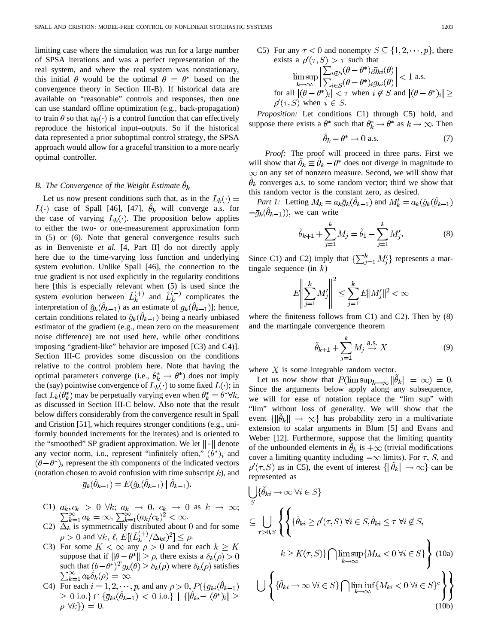limiting case where the simulation was run for a large number of SPSA iterations and was a perfect representation of the real system, and where the real system was nonstationary, this initial  $\theta$  would be the optimal  $\theta = \theta^*$  based on the convergence theory in Section III-B). If historical data are available on "reasonable" controls and responses, then one can use standard offline optimization (e.g., back-propagation) to train  $\theta$  so that  $u_0(\cdot)$  is a control function that can effectively reproduce the historical input–outputs. So if the historical data represented a prior suboptimal control strategy, the SPSA approach would allow for a graceful transition to a more nearly optimal controller.

# *B. The Convergence of the Weight Estimate*  $\hat{\theta}_k$

Let us now present conditions such that, as in the  $L_k(\cdot)$  =  $L(\cdot)$  case of Spall [46], [47],  $\hat{\theta}_k$  will converge a.s. for the case of varying  $L_k(\cdot)$ . The proposition below applies to either the two- or one-measurement approximation form in (5) or (6). Note that general convergence results such as in Benveniste *et al.* [4, Part II] do not directly apply here due to the time-varying loss function and underlying system evolution. Unlike Spall [46], the connection to the true gradient is not used explicitly in the regularity conditions here [this is especially relevant when (5) is used since the system evolution between  $\hat{L}_k^{(+)}$  and  $\hat{L}_k^{(-)}$  complicates the interpretation of  $\hat{g}_k(\hat{\theta}_{k-1})$  as an estimate of  $g_k(\hat{\theta}_{k-1})$ ; hence, certain conditions related to  $\hat{g}_k(\hat{\theta}_{k-1})$  being a nearly unbiased estimator of the gradient (e.g., mean zero on the measurement noise difference) are not used here, while other conditions imposing "gradient-like" behavior are imposed [C3) and C4)]. Section III-C provides some discussion on the conditions relative to the control problem here. Note that having the optimal parameters converge (i.e.,  $\theta_k^* \to \theta^*$ ) does not imply the (say) pointwise convergence of  $L_k^{\uparrow}(\cdot)$  to some fixed  $L(\cdot)$ ; in fact  $L_k(\theta_k^*)$  may be perpetually varying even when  $\theta_k^* = \theta^* \forall k$ , as discussed in Section III-C below. Also note that the result below differs considerably from the convergence result in Spall and Cristion [51], which requires stronger conditions (e.g., uniformly bounded increments for the iterates) and is oriented to the "smoothed" SP gradient approximation. We let  $\|\cdot\|$  denote any vector norm, i.o., represent "infinitely often,"  $(\theta^*)_i$  and  $(\theta - \theta^*)_i$  represent the *i*th components of the indicated vectors (notation chosen to avoid confusion with time subscript  $k$ ), and

$$
\bar{g}_k(\hat{\theta}_{k-1}) = E(\hat{g}_k(\hat{\theta}_{k-1}) \mid \hat{\theta}_{k-1}).
$$

- C1)  $a_k, c_k > 0$   $\forall k; a_k \rightarrow 0, c_k \rightarrow 0$  as .
- C2)  $\Delta_k$  is symmetrically distributed about 0 and for some  $\rho > 0$  and  $\forall k, \ell, E[(\hat{L}_k^{(+)}/\Delta_{k\ell})^2] \leq \rho$ .
- C3) For some  $K < \infty$  any  $\rho > 0$  and for each  $k \geq K$ suppose that if  $\|\theta - \theta^*\| \ge \rho$ , there exists a such that  $(\theta - \theta^*)^T \bar{g}_k(\theta) \ge \delta_k(\rho)$  where  $\delta_k(\rho)$  satisfies  $\sum_{k=1}^{\infty} a_k \dot{\delta}_k(\rho) = \infty.$
- C4) For each  $i = 1, 2, \dots, p$ , and any i.o.}  $\cap$   $\{\bar{g}_{ki}(\theta_{k-1}) < 0$  i.o.  $\rho \ \forall k$ } = 0.

C5) For any 
$$
\tau < 0
$$
 and nonempty  $S \subseteq \{1, 2, \dots, p\}$ , there exists a  $\rho'(\tau, S) > \tau$  such that  $\sum_{i} (a_i - a_i) \neq \sum_{i} (a_i - a_i)$ .

$$
\limsup_{k \to \infty} \left| \frac{\sum_{i \notin S} (\theta - \theta^*)_i g_{ki}(\theta)}{\sum_{i \in S} (\theta - \theta^*)_i \bar{g}_{ki}(\theta)} \right| < 1 \text{ a.s.}
$$
\n
$$
\text{for all } |(\theta - \theta^*)_i| < \tau \text{ when } i \notin S \text{ and } |(\theta - \theta^*)_i| \ge \rho'(\tau, S) \text{ when } i \in S.
$$

*Proposition:* Let conditions C1) through C5) hold, and suppose there exists a  $\theta^*$  such that  $\theta^*_k \to \theta^*$  as  $k \to \infty$ . Then

$$
\ddot{\theta}_k - \theta^* \to 0 \text{ a.s.} \tag{7}
$$

*Proof:* The proof will proceed in three parts. First we will show that  $\theta_k \equiv \theta_k - \theta^*$  does not diverge in magnitude to  $\infty$  on any set of nonzero measure. Second, we will show that  $\hat{\theta}_k$  converges a.s. to some random vector; third we show that this random vector is the constant zero, as desired.

*Part 1:* Letting  $M_k = a_k \bar{g}_k(\hat{\theta}_{k-1})$  and  $M'_k = a_k(\hat{g}_k(\hat{\theta}_{k-1}))$  $-\overline{q}_k(\hat{\theta}_{k-1})$ , we can write

$$
\tilde{\theta}_{k+1} + \sum_{j=1}^{k} M_j = \tilde{\theta}_1 - \sum_{j=1}^{k} M'_j.
$$
 (8)

Since C1) and C2) imply that  $\{\sum_{j=1}^{k} M'_{j}\}\)$  represents a martingale sequence (in  $k$ )

$$
E\left\| \sum_{j=1}^{k} M'_j \right\|^2 \le \sum_{j=1}^{k} E||M'_j||^2 < \infty
$$

where the finiteness follows from C1) and C2). Then by (8) and the martingale convergence theorem

$$
\tilde{\theta}_{k+1} + \sum_{j=1}^{k} M_j \stackrel{\text{a.s.}}{\to} X \tag{9}
$$

where  $X$  is some integrable random vector.

Let us now show that  $P(\limsup_{k\to\infty} ||\theta_k|| = \infty) = 0$ . Since the arguments below apply along any subsequence, we will for ease of notation replace the "lim sup" with "lim" without loss of generality. We will show that the event  $\{\|\theta_k\| \to \infty\}$  has probability zero in a multivariate extension to scalar arguments in Blum [5] and Evans and Weber [12]. Furthermore, suppose that the limiting quantity of the unbounded elements in  $\tilde{\theta}_k$  is  $+\infty$  (trivial modifications cover a limiting quantity including  $-\infty$  limits). For  $\tau$ , S, and  $\rho'(\tau, S)$  as in C5), the event of interest  $\{\|\tilde{\theta}_k\| \to \infty\}$  can be represented as

$$
\bigcup_{S} \{\tilde{\theta}_{ki} \to \infty \ \forall i \in S\}
$$
\n
$$
\subseteq \bigcup_{\tau > 0, S} \left\{ \left\{ \{\tilde{\theta}_{ki} \ge \rho'(\tau, S) \ \forall i \in S, \tilde{\theta}_{ki} \le \tau \ \forall i \notin S, \right\} \right\}
$$
\n
$$
k \ge K(\tau, S) \} \bigcap \limsup_{k \to \infty} \{ M_{ki} < 0 \ \forall i \in S \} \right\} (10a)
$$
\n
$$
\bigcup \left\{ \{\tilde{\theta}_{ki} \to \infty \ \forall i \in S\} \bigcap \liminf_{k \to \infty} \{ M_{ki} < 0 \ \forall i \in S \}^c \right\} (10b)
$$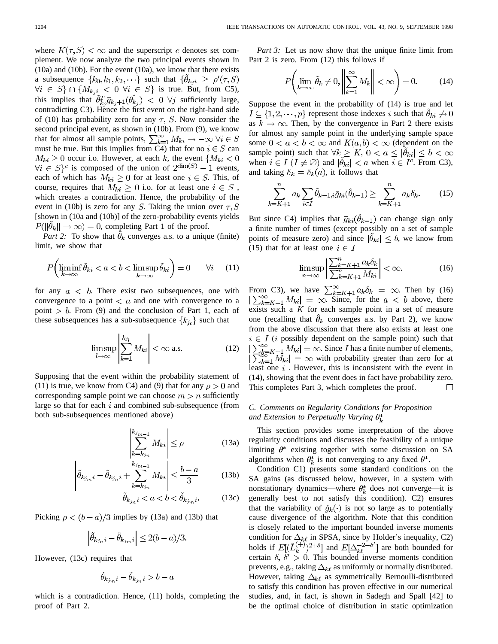where  $K(\tau, S) < \infty$  and the superscript c denotes set complement. We now analyze the two principal events shown in (10a) and (10b). For the event (10a), we know that there exists a subsequence  $\{k_0, k_1, k_2, \dots\}$  such that  $\{\hat{\theta}_{k,i} \geq \rho'(\tau, S)\}$ is true. But, from C5), this implies that  $\theta_{k_i}^T \bar{g}_{k_i+1}(\theta_{k_i}) < 0 \ \forall j$  sufficiently large, contradicting C3). Hence the first event on the right-hand side of (10) has probability zero for any  $\tau$ , S. Now consider the second principal event, as shown in (10b). From (9), we know that for almost all sample points,  $\sum_{k=1}^{\infty} M_{ki} \to -\infty$   $\forall i \in S$ must be true. But this implies from C4) that for no  $i \in S$  can  $M_{ki} \geq 0$  occur i.o. However, at each k, the event  $\{M_{ki} < 0\}$  $\forall i \in S$ <sup>c</sup> is composed of the union of  $2^{\dim(S)} - 1$  events, each of which has  $M_{ki} \geq 0$  for at least one  $i \in S$ . This, of course, requires that  $M_{ki} \geq 0$  i.o. for at least one  $i \in S$ , which creates a contradiction. Hence, the probability of the event in (10b) is zero for any S. Taking the union over  $\tau$ , S [shown in (10a and (10b)] of the zero-probability events yields  $P(||\theta_k|| \to \infty) = 0$ , completing Part 1 of the proof.

*Part 2:* To show that  $\hat{\theta}_k$  converges a.s. to a unique (finite) limit, we show that

$$
P\left(\liminf_{k \to \infty} \tilde{\theta}_{ki} < a < b < \limsup_{k \to \infty} \tilde{\theta}_{ki}\right) = 0 \qquad \forall i \qquad (11)
$$

for any  $a \leq b$ . There exist two subsequences, one with convergence to a point  $\langle a \rangle$  and one with convergence to a point  $> b$ . From (9) and the conclusion of Part 1, each of these subsequences has a sub-subsequence  $\{k_{ii}\}\$  such that

$$
\limsup_{l \to \infty} \left| \sum_{k=1}^{k_{j_l}} M_{ki} \right| < \infty \text{ a.s.} \tag{12}
$$

Supposing that the event within the probability statement of (11) is true, we know from C4) and (9) that for any  $\rho > 0$  and corresponding sample point we can choose  $m > n$  sufficiently large so that for each  $i$  and combined sub-subsequence (from both sub-subsequences mentioned above)

$$
\left| \sum_{k=k_{j_n}}^{k_{j_{m-1}}} M_{ki} \right| \le \rho \tag{13a}
$$

$$
\left| \tilde{\theta}_{k_{j_m}i} - \tilde{\theta}_{k_{j_n}i} + \sum_{k=k_{j_n}}^{k_{j_{m-1}}} M_{ki} \right| \le \frac{b-a}{3} \tag{13b}
$$

$$
\tilde{\theta}_{k_{j_n}i} < a < b < \tilde{\theta}_{k_{j_m}i}.\tag{13c}
$$

Picking  $\rho < (b - a)/3$  implies by (13a) and (13b) that

$$
\left|\tilde{\theta}_{k_{j_n}i} - \tilde{\theta}_{k_{j_m}i}\right| \le 2(b-a)/3
$$

However, (13c) requires that

$$
\tilde{\theta}_{k_{jm}i} - \tilde{\theta}_{k_{jn}i} > b - a
$$

which is a contradiction. Hence,  $(11)$  holds, completing the proof of Part 2.

*Part 3:* Let us now show that the unique finite limit from Part 2 is zero. From (12) this follows if

$$
P\left(\lim_{k\to\infty}\tilde{\theta}_k\neq 0,\left\|\sum_{k=1}^\infty M_k\right\|<\infty\right)=0.\tag{14}
$$

Suppose the event in the probability of (14) is true and let  $I \subseteq \{1, 2, \dots, p\}$  represent those indexes i such that  $\theta_{ki} \nightharpoondown 0$ as  $k \to \infty$ . Then, by the convergence in Part 2 there exists for almost any sample point in the underlying sample space some  $0 < a < b < \infty$  and  $K(a, b) < \infty$  (dependent on the sample point) such that  $\forall k \geq K, 0 < a \leq |\theta_{ki}| \leq b < \infty$ when  $i \in I$   $(I \neq \emptyset)$  and  $|\tilde{\theta}_{ki}| < a$  when  $i \in I^c$ . From C3), and taking  $\delta_k = \delta_k(a)$ , it follows that

$$
\sum_{k=K+1}^{n} a_k \sum_{i \in I} \tilde{\theta}_{k-1,i} \bar{g}_{ki}(\hat{\theta}_{k-1}) \ge \sum_{k=K+1}^{n} a_k \delta_k.
$$
 (15)

But since C4) implies that  $\bar{g}_{ki}(\hat{\theta}_{k-1})$  can change sign only a finite number of times (except possibly on a set of sample points of measure zero) and since  $|\theta_{ki}| \leq b$ , we know from (15) that for at least one  $i \in I$ 

$$
\limsup_{n \to \infty} \left| \frac{\sum_{k=K+1}^{n} a_k \delta_k}{\sum_{k=K+1}^{n} M_{ki}} \right| < \infty. \tag{16}
$$

From C3), we have  $\sum_{k=K+1}^{\infty} a_k \delta_k = \infty$ . Then by (16) . Since, for the  $a < b$  above, there exists such a  $K$  for each sample point in a set of measure one (recalling that  $\ddot{\theta}_k$  converges a.s. by Part 2), we know from the above discussion that there also exists at least one  $i \in I$  (*i* possibly dependent on the sample point) such that . Since  $I$  has a finite number of elements, with probability greater than zero for at least one  $i$ . However, this is inconsistent with the event in (14), showing that the event does in fact have probability zero. This completes Part 3, which completes the proof.  $\Box$ 

# *C. Comments on Regularity Conditions for Proposition and Extension to Perpetually Varying*  $\theta_k^*$

This section provides some interpretation of the above regularity conditions and discusses the feasibility of a unique limiting  $\theta^*$  existing together with some discussion on SA algorithms when  $\theta_k^*$  is not converging to any fixed  $\theta^*$ .

Condition C1) presents some standard conditions on the SA gains (as discussed below, however, in a system with nonstationary dynamics—where  $\theta_k^*$  does not converge—it is generally best to not satisfy this condition). C2) ensures that the variability of  $\hat{g}_k(\cdot)$  is not so large as to potentially cause divergence of the algorithm. Note that this condition is closely related to the important bounded inverse moments condition for  $\Delta_{k\ell}$  in SPSA, since by Holder's inequality, C2) holds if  $E[(\tilde{L}_k^{(+)})^{2+\delta}]$  and  $E[\Delta_{k\ell}^{-2-\delta}]$  are both bounded for certain  $\delta$ ,  $\delta' > 0$ . This bounded inverse moments condition prevents, e.g., taking  $\Delta_{k\ell}$  as uniformly or normally distributed. However, taking  $\Delta_{k\ell}$  as symmetrically Bernoulli-distributed to satisfy this condition has proven effective in our numerical studies, and, in fact, is shown in Sadegh and Spall [42] to be the optimal choice of distribution in static optimization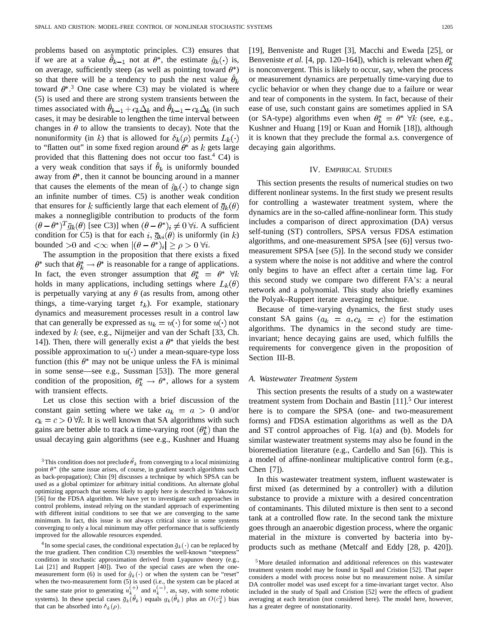problems based on asymptotic principles. C3) ensures that if we are at a value  $\theta_{k-1}$  not at  $\theta^*$ , the estimate  $\hat{g}_k(\cdot)$  is, on average, sufficiently steep (as well as pointing toward  $\theta^*$ ) so that there will be a tendency to push the next value  $\hat{\theta}_k$ toward  $\theta^{*}$ .<sup>3</sup> One case where C3) may be violated is where (5) is used and there are strong system transients between the times associated with  $\hat{\theta}_{k-1} + c_k \Delta_k$  and  $\hat{\theta}_{k-1} - c_k \Delta_k$  (in such cases, it may be desirable to lengthen the time interval between changes in  $\theta$  to allow the transients to decay). Note that the nonuniformity (in k) that is allowed for  $\delta_k(\rho)$  permits  $L_k(\cdot)$ to "flatten out" in some fixed region around  $\theta^*$  as k gets large provided that this flattening does not occur too fast.<sup>4</sup>  $C4$ ) is a very weak condition that says if  $\hat{\theta}_k$  is uniformly bounded away from  $\theta^*$ , then it cannot be bouncing around in a manner that causes the elements of the mean of  $\hat{g}_k(\cdot)$  to change sign an infinite number of times. C5) is another weak condition that ensures for k sufficiently large that each element of  $\bar{g}_k(\theta)$ makes a nonnegligible contribution to products of the form  $((\theta - \theta^*)^T \bar{g}_k(\theta)$  [see C3)] when  $((\theta - \theta^*)_i \neq 0 \ \forall i$ . A sufficient condition for C5) is that for each i,  $\bar{g}_{ki}(\theta)$  is uniformly (in k) bounded  $>0$  and  $<\infty$  when  $|(\theta - \theta^*)_i| \ge \rho > 0 \ \forall i$ .

The assumption in the proposition that there exists a fixed  $\theta^*$  such that  $\theta^*_{k} \to \theta^*$  is reasonable for a range of applications. In fact, the even stronger assumption that  $\theta_k^* = \theta^* \ \forall k$ holds in many applications, including settings where  $L_k(\theta)$ is perpetually varying at any  $\theta$  (as results from, among other things, a time-varying target  $t_k$ ). For example, stationary dynamics and measurement processes result in a control law that can generally be expressed as  $u_k = u(\cdot)$  for some  $u(\cdot)$  not indexed by  $k$  (see, e.g., Nijmeijer and van der Schaft [33, Ch. 14]). Then, there will generally exist a  $\theta^*$  that yields the best possible approximation to  $u(\cdot)$  under a mean-square-type loss function (this  $\theta^*$  may not be unique unless the FA is minimal in some sense—see e.g., Sussman [53]). The more general condition of the proposition,  $\theta_k^* \to \theta^*$ , allows for a system with transient effects.

Let us close this section with a brief discussion of the constant gain setting where we take  $a_k = a > 0$  and/or  $c_k = c > 0 \forall k$ . It is well known that SA algorithms with such gains are better able to track a time-varying root  $(\theta_k^*)$  than the usual decaying gain algorithms (see e.g., Kushner and Huang

<sup>4</sup> In some special cases, the conditional expectation  $\bar{g}_k(\cdot)$  can be replaced by the true gradient. Then condition C3) resembles the well-known "steepness' condition in stochastic approximation derived from Lyapunov theory (e.g., condition in stochastic approximation derived from Lyapunov theory (e.g., Lai [21] and Ruppert [40]). Two of the special cases are when the one-<br>measurement form (6) is used for  $\hat{g}_k(\cdot)$  or when the system can be "rese when the two-measurement form (5) is used (i.e., the system can be placed at the same state prior to generating  $u_k^{(+)}$  and  $u_k^{(-)}$ , as, say, with some robotic systems). In these special cases  $\bar{g}_k(\hat{\theta}_k)$  equals  $g_k(\hat{\theta}_k)$  plus an  $O(c_k^2)$  bias that can be absorbed into  $\delta_k(\rho)$ .

[19], Benveniste and Ruget [3], Macchi and Eweda [25], or Benveniste *et al.* [4, pp. 120–164]), which is relevant when  $\theta_k^*$ is nonconvergent. This is likely to occur, say, when the process or measurement dynamics are perpetually time-varying due to cyclic behavior or when they change due to a failure or wear and tear of components in the system. In fact, because of their ease of use, such constant gains are sometimes applied in SA (or SA-type) algorithms even when  $\theta_k^* = \theta^* \ \forall k$  (see, e.g., Kushner and Huang [19] or Kuan and Hornik [18]), although it is known that they preclude the formal a.s. convergence of decaying gain algorithms.

## IV. EMPIRICAL STUDIES

This section presents the results of numerical studies on two different nonlinear systems. In the first study we present results for controlling a wastewater treatment system, where the dynamics are in the so-called affine-nonlinear form. This study includes a comparison of direct approximation (DA) versus self-tuning (ST) controllers, SPSA versus FDSA estimation algorithms, and one-measurement SPSA [see (6)] versus twomeasurement SPSA [see (5)]. In the second study we consider a system where the noise is not additive and where the control only begins to have an effect after a certain time lag. For this second study we compare two different FA's: a neural network and a polynomial. This study also briefly examines the Polyak–Ruppert iterate averaging technique.

Because of time-varying dynamics, the first study uses constant SA gains  $(a_k = a, c_k = c)$  for the estimation algorithms. The dynamics in the second study are timeinvariant; hence decaying gains are used, which fulfills the requirements for convergence given in the proposition of Section III-B.

#### *A. Wastewater Treatment System*

This section presents the results of a study on a wastewater treatment system from Dochain and Bastin  $[11]$ <sup>5</sup> Our interest here is to compare the SPSA (one- and two-measurement forms) and FDSA estimation algorithms as well as the DA and ST control approaches of Fig. 1(a) and (b). Models for similar wastewater treatment systems may also be found in the bioremediation literature (e.g., Cardello and San [6]). This is a model of affine-nonlinear multiplicative control form (e.g., Chen [7]).

In this wastewater treatment system, influent wastewater is first mixed (as determined by a controller) with a dilution substance to provide a mixture with a desired concentration of contaminants. This diluted mixture is then sent to a second tank at a controlled flow rate. In the second tank the mixture goes through an anaerobic digestion process, where the organic material in the mixture is converted by bacteria into byproducts such as methane (Metcalf and Eddy [28, p. 420]).

<sup>&</sup>lt;sup>3</sup>This condition does not preclude  $\hat{\theta}_k$  from converging to a local minimizing point  $\theta^*$  (the same issue arises, of course, in gradient search algorithms such as back-propagation); Chin [9] discusses a technique by which SPSA can be used as a global optimizer for arbitrary initial conditions. An alternate global optimizing approach that seems likely to apply here is described in Yakowitz [56] for the FDSA algorithm. We have yet to investigate such approaches in control problems, instead relying on the standard approach of experimenting with different initial conditions to see that we are converging to the same minimum. In fact, this issue is not always critical since in some systems converging to only a local minimum may offer performance that is sufficiently improved for the allowable resources expended.

<sup>5</sup>More detailed information and additional references on this wastewater treatment system model may be found in Spall and Cristion [52]. That paper considers a model with process noise but no measurement noise. A similar DA controller model was used except for a time-invariant target vector. Also included in the study of Spall and Cristion [52] were the effects of gradient averaging at each iteration (not considered here). The model here, however, has a greater degree of nonstationarity.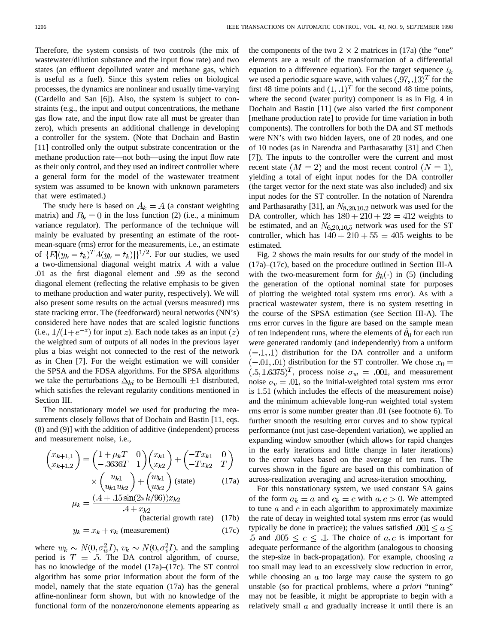Therefore, the system consists of two controls (the mix of wastewater/dilution substance and the input flow rate) and two states (an effluent depolluted water and methane gas, which is useful as a fuel). Since this system relies on biological processes, the dynamics are nonlinear and usually time-varying (Cardello and San [6]). Also, the system is subject to constraints (e.g., the input and output concentrations, the methane gas flow rate, and the input flow rate all must be greater than zero), which presents an additional challenge in developing a controller for the system. (Note that Dochain and Bastin [11] controlled only the output substrate concentration or the methane production rate—not both—using the input flow rate as their only control, and they used an indirect controller where a general form for the model of the wastewater treatment system was assumed to be known with unknown parameters that were estimated.)

The study here is based on  $A_k = A$  (a constant weighting matrix) and  $B_k = 0$  in the loss function (2) (i.e., a minimum variance regulator). The performance of the technique will mainly be evaluated by presenting an estimate of the rootmean-square (rms) error for the measurements, i.e., an estimate of  $\{E[(y_k - t_k)^T A (y_k - t_k)]\}^{1/2}$ . For our studies, we used a two-dimensional diagonal weight matrix  $A$  with a value .01 as the first diagonal element and .99 as the second diagonal element (reflecting the relative emphasis to be given to methane production and water purity, respectively). We will also present some results on the actual (versus measured) rms state tracking error. The (feedforward) neural networks (NN's) considered here have nodes that are scaled logistic functions (i.e.,  $1/(1+e^{-z})$  for input z). Each node takes as an input  $(z)$ the weighted sum of outputs of all nodes in the previous layer plus a bias weight not connected to the rest of the network as in Chen [7]. For the weight estimation we will consider the SPSA and the FDSA algorithms. For the SPSA algorithms we take the perturbations  $\Delta_{ki}$  to be Bernoulli  $\pm 1$  distributed, which satisfies the relevant regularity conditions mentioned in Section III.

The nonstationary model we used for producing the measurements closely follows that of Dochain and Bastin [11, eqs. (8) and (9)] with the addition of additive (independent) process and measurement noise, i.e.,

$$
\begin{pmatrix} x_{k+1,1} \\ x_{k+1,2} \end{pmatrix} = \begin{pmatrix} 1 + \mu_k T & 0 \\ -.3636T & 1 \end{pmatrix} \begin{pmatrix} x_{k1} \\ x_{k2} \end{pmatrix} + \begin{pmatrix} -Tx_{k1} & 0 \\ -Tx_{k2} & T \end{pmatrix}
$$

$$
\times \begin{pmatrix} u_{k1} \\ u_{k1}u_{k2} \end{pmatrix} + \begin{pmatrix} w_{k1} \\ w_{k2} \end{pmatrix} \text{ (state)} \qquad (17a)
$$

$$
u_{k1} = \frac{(.4 + .15\sin(2\pi k/96))x_{k2}}{4\pi k}
$$

$$
.4 + x_{k2}
$$
  
(bacterial growth rate) (17b)  

$$
y_k = x_k + v_k
$$
 (measurement) (17c)

where  $w_k \sim N(0, \sigma_w^2 I)$ ,  $v_k \sim N(0, \sigma_v^2 I)$ , and the sampling period is  $T = .5$ . The DA control algorithm, of course, has no knowledge of the model (17a)–(17c). The ST control algorithm has some prior information about the form of the model, namely that the state equation (17a) has the general affine-nonlinear form shown, but with no knowledge of the functional form of the nonzero/nonone elements appearing as the components of the two  $2 \times 2$  matrices in (17a) (the "one" elements are a result of the transformation of a differential equation to a difference equation). For the target sequence  $t_k$ we used a periodic square wave, with values  $(.97, .13)^T$  for the first 48 time points and  $(1, .1)^T$  for the second 48 time points, where the second (water purity) component is as in Fig. 4 in Dochain and Bastin [11] (we also varied the first component [methane production rate] to provide for time variation in both components). The controllers for both the DA and ST methods were NN's with two hidden layers, one of 20 nodes, and one of 10 nodes (as in Narendra and Parthasarathy [31] and Chen [7]). The inputs to the controller were the current and most recent state  $(M = 2)$  and the most recent control  $(N = 1)$ , yielding a total of eight input nodes for the DA controller (the target vector for the next state was also included) and six input nodes for the ST controller. In the notation of Narendra and Parthasarathy [31], an  $N_{8,20,10,2}$  network was used for the DA controller, which has  $180 + 210 + 22 = 412$  weights to be estimated, and an  $N_{6,20,10,5}$  network was used for the ST controller, which has  $140 + 210 + 55 = 405$  weights to be estimated.

Fig. 2 shows the main results for our study of the model in (17a)–(17c), based on the procedure outlined in Section III-A with the two-measurement form for  $\hat{g}_k(\cdot)$  in (5) (including the generation of the optional nominal state for purposes of plotting the weighted total system rms error). As with a practical wastewater system, there is no system resetting in the course of the SPSA estimation (see Section III-A). The rms error curves in the figure are based on the sample mean of ten independent runs, where the elements of  $\hat{\theta}_0$  for each run were generated randomly (and independently) from a uniform  $(-.1, .1)$  distribution for the DA controller and a uniform  $(-.01, .01)$  distribution for the ST controller. We chose  $x_0 =$  $(.5, 1.6375)^T$ , process noise  $\sigma_w = .001$ , and measurement noise  $\sigma_v = .01$ , so the initial-weighted total system rms error is 1.51 (which includes the effects of the measurement noise) and the minimum achievable long-run weighted total system rms error is some number greater than .01 (see footnote 6). To further smooth the resulting error curves and to show typical performance (not just case-dependent variation), we applied an expanding window smoother (which allows for rapid changes in the early iterations and little change in later iterations) to the error values based on the average of ten runs. The curves shown in the figure are based on this combination of across-realization averaging and across-iteration smoothing.

For this nonstationary system, we used constant SA gains of the form  $a_k = a$  and  $c_k = c$  with  $a, c > 0$ . We attempted to tune  $\alpha$  and  $\alpha$  in each algorithm to approximately maximize the rate of decay in weighted total system rms error (as would typically be done in practice); the values satisfied  $.001 \le a \le$ 5 and .005  $\leq c \leq 1$ . The choice of a, c is important for adequate performance of the algorithm (analogous to choosing the step-size in back-propagation). For example, choosing  $a$ too small may lead to an excessively slow reduction in error, while choosing an  $a$  too large may cause the system to go unstable (so for practical problems, where *a priori* "tuning" may not be feasible, it might be appropriate to begin with a relatively small  $\alpha$  and gradually increase it until there is an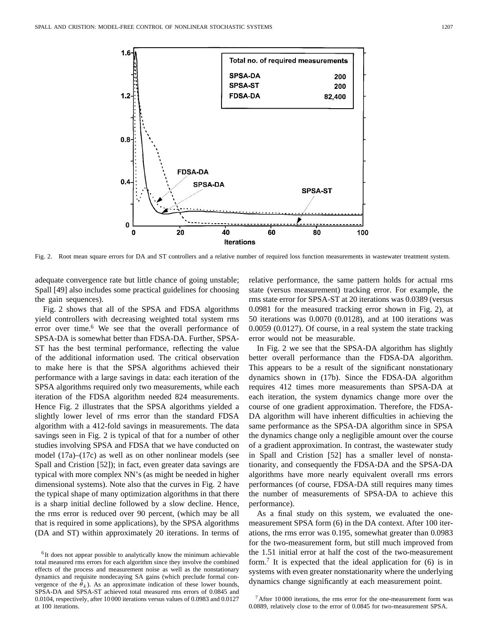

Fig. 2. Root mean square errors for DA and ST controllers and a relative number of required loss function measurements in wastewater treatment system.

adequate convergence rate but little chance of going unstable; Spall [49] also includes some practical guidelines for choosing the gain sequences).

Fig. 2 shows that all of the SPSA and FDSA algorithms yield controllers with decreasing weighted total system rms error over time.<sup>6</sup> We see that the overall performance of SPSA-DA is somewhat better than FDSA-DA. Further, SPSA-ST has the best terminal performance, reflecting the value of the additional information used. The critical observation to make here is that the SPSA algorithms achieved their performance with a large savings in data: each iteration of the SPSA algorithms required only two measurements, while each iteration of the FDSA algorithm needed 824 measurements. Hence Fig. 2 illustrates that the SPSA algorithms yielded a slightly lower level of rms error than the standard FDSA algorithm with a 412-fold savings in measurements. The data savings seen in Fig. 2 is typical of that for a number of other studies involving SPSA and FDSA that we have conducted on model (17a)–(17c) as well as on other nonlinear models (see Spall and Cristion [52]); in fact, even greater data savings are typical with more complex NN's (as might be needed in higher dimensional systems). Note also that the curves in Fig. 2 have the typical shape of many optimization algorithms in that there is a sharp initial decline followed by a slow decline. Hence, the rms error is reduced over 90 percent, (which may be all that is required in some applications), by the SPSA algorithms (DA and ST) within approximately 20 iterations. In terms of

<sup>6</sup>It does not appear possible to analytically know the minimum achievable total measured rms errors for each algorithm since they involve the combined effects of the process and measurement noise as well as the nonstationary dynamics and requisite nondecaying SA gains (which preclude formal convergence of the  $\hat{\theta}_k$ ). As an approximate indication of these lower bounds, SPSA-DA and SPSA-ST achieved total measured rms errors of 0.0845 and 0.0104, respectively, after 10 000 iterations versus values of 0.0983 and 0.0127 at 100 iterations.

relative performance, the same pattern holds for actual rms state (versus measurement) tracking error. For example, the rms state error for SPSA-ST at 20 iterations was 0.0389 (versus 0.0981 for the measured tracking error shown in Fig. 2), at 50 iterations was 0.0070 (0.0128), and at 100 iterations was 0.0059 (0.0127). Of course, in a real system the state tracking error would not be measurable.

In Fig. 2 we see that the SPSA-DA algorithm has slightly better overall performance than the FDSA-DA algorithm. This appears to be a result of the significant nonstationary dynamics shown in (17b). Since the FDSA-DA algorithm requires 412 times more measurements than SPSA-DA at each iteration, the system dynamics change more over the course of one gradient approximation. Therefore, the FDSA-DA algorithm will have inherent difficulties in achieving the same performance as the SPSA-DA algorithm since in SPSA the dynamics change only a negligible amount over the course of a gradient approximation. In contrast, the wastewater study in Spall and Cristion [52] has a smaller level of nonstationarity, and consequently the FDSA-DA and the SPSA-DA algorithms have more nearly equivalent overall rms errors performances (of course, FDSA-DA still requires many times the number of measurements of SPSA-DA to achieve this performance).

As a final study on this system, we evaluated the onemeasurement SPSA form (6) in the DA context. After 100 iterations, the rms error was 0.195, somewhat greater than 0.0983 for the two-measurement form, but still much improved from the 1.51 initial error at half the cost of the two-measurement form.<sup>7</sup> It is expected that the ideal application for  $(6)$  is in systems with even greater nonstationarity where the underlying dynamics change significantly at each measurement point.

 $7$ After 10 000 iterations, the rms error for the one-measurement form was 0.0889, relatively close to the error of 0.0845 for two-measurement SPSA.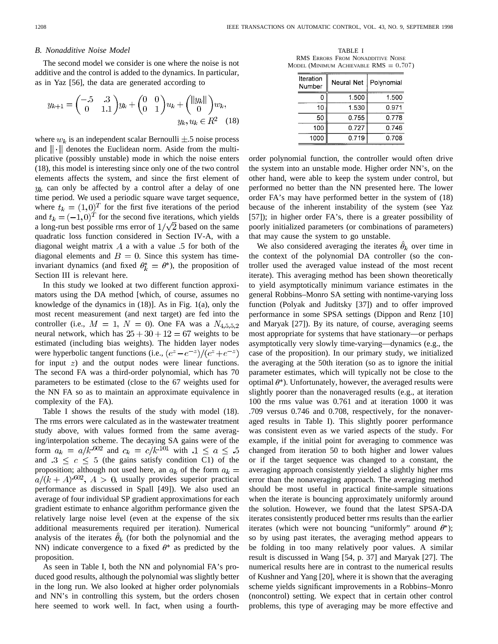## *B. Nonadditive Noise Model*

The second model we consider is one where the noise is not additive and the control is added to the dynamics. In particular, as in Yaz [56], the data are generated according to

$$
y_{k+1} = \begin{pmatrix} -.5 & .3 \\ 0 & 1.1 \end{pmatrix} y_k + \begin{pmatrix} 0 & 0 \\ 0 & 1 \end{pmatrix} u_k + \begin{pmatrix} ||y_k|| \\ 0 \end{pmatrix} w_k,
$$
  

$$
y_k, u_k \in R^2 \quad (18)
$$

where  $w_k$  is an independent scalar Bernoulli  $\pm .5$  noise process and  $\|\cdot\|$  denotes the Euclidean norm. Aside from the multiplicative (possibly unstable) mode in which the noise enters (18), this model is interesting since only one of the two control elements affects the system, and since the first element of  $y_k$  can only be affected by a control after a delay of one time period. We used a periodic square wave target sequence, where  $t_k = (1,0)^T$  for the first five iterations of the period and  $t_k = (-1,0)^T$  for the second five iterations, which yields a long-run best possible rms error of  $1/\sqrt{2}$  based on the same quadratic loss function considered in Section IV-A, with a diagonal weight matrix  $A$  a with a value .5 for both of the diagonal elements and  $B = 0$ . Since this system has timeinvariant dynamics (and fixed  $\theta_k^* = \theta^*$ ), the proposition of Section III is relevant here.

In this study we looked at two different function approximators using the DA method [which, of course, assumes no knowledge of the dynamics in (18)]. As in Fig. 1(a), only the most recent measurement (and next target) are fed into the controller (i.e.,  $M = 1, N = 0$ ). One FA was a  $N_{4,5,5,2}$ neural network, which has  $25 + 30 + 12 = 67$  weights to be estimated (including bias weights). The hidden layer nodes were hyperbolic tangent functions (i.e.,  $(e^z - e^{-z})/(e^z + e^{-z})$ ) for input  $z$ ) and the output nodes were linear functions. The second FA was a third-order polynomial, which has 70 parameters to be estimated (close to the 67 weights used for the NN FA so as to maintain an approximate equivalence in complexity of the FA).

Table I shows the results of the study with model (18). The rms errors were calculated as in the wastewater treatment study above, with values formed from the same averaging/interpolation scheme. The decaying SA gains were of the form  $a_k = a/k^{.602}$  and  $c_k = c/k^{.101}$  with  $.1 \le a \le .5$ and  $3 \leq c \leq 5$  (the gains satisfy condition C1) of the proposition; although not used here, an  $a_k$  of the form  $a_k =$  $a/(k+A)^{.602}$ ,  $A > 0$ , usually provides superior practical performance as discussed in Spall [49]). We also used an average of four individual SP gradient approximations for each gradient estimate to enhance algorithm performance given the relatively large noise level (even at the expense of the six additional measurements required per iteration). Numerical analysis of the iterates  $\hat{\theta}_k$  (for both the polynomial and the NN) indicate convergence to a fixed  $\theta^*$  as predicted by the proposition.

As seen in Table I, both the NN and polynomial FA's produced good results, although the polynomial was slightly better in the long run. We also looked at higher order polynomials and NN's in controlling this system, but the orders chosen here seemed to work well. In fact, when using a fourth-

TABLE I RMS ERRORS FROM NONADDITIVE NOISE MODEL (MINIMUM ACHIEVABLE RMS  $= 0.707$ )

| Iteration<br>Number | Neural Net | Polynomial |
|---------------------|------------|------------|
|                     | 1.500      | 1.500      |
| 10                  | 1.530      | 0.971      |
| 50                  | 0.755      | 0.778      |
| 100                 | 0.727      | 0.746      |
| 1000                | 0.719      | 0.708      |

order polynomial function, the controller would often drive the system into an unstable mode. Higher order NN's, on the other hand, were able to keep the system under control, but performed no better than the NN presented here. The lower order FA's may have performed better in the system of (18) because of the inherent instability of the system (see Yaz [57]); in higher order FA's, there is a greater possibility of poorly initialized parameters (or combinations of parameters) that may cause the system to go unstable.

We also considered averaging the iterates  $\hat{\theta}_k$  over time in the context of the polynomial DA controller (so the controller used the averaged value instead of the most recent iterate). This averaging method has been shown theoretically to yield asymptotically minimum variance estimates in the general Robbins–Monro SA setting with nontime-varying loss function (Polyak and Juditsky [37]) and to offer improved performance in some SPSA settings (Dippon and Renz [10] and Maryak [27]). By its nature, of course, averaging seems most appropriate for systems that have stationary—or perhaps asymptotically very slowly time-varying—dynamics (e.g., the case of the proposition). In our primary study, we initialized the averaging at the 50th iteration (so as to ignore the initial parameter estimates, which will typically not be close to the optimal  $\theta^*$ ). Unfortunately, however, the averaged results were slightly poorer than the nonaveraged results (e.g., at iteration 100 the rms value was 0.761 and at iteration 1000 it was .709 versus 0.746 and 0.708, respectively, for the nonaveraged results in Table I). This slightly poorer performance was consistent even as we varied aspects of the study. For example, if the initial point for averaging to commence was changed from iteration 50 to both higher and lower values or if the target sequence was changed to a constant, the averaging approach consistently yielded a slightly higher rms error than the nonaveraging approach. The averaging method should be most useful in practical finite-sample situations when the iterate is bouncing approximately uniformly around the solution. However, we found that the latest SPSA-DA iterates consistently produced better rms results than the earlier iterates (which were not bouncing "uniformly" around  $\theta^*$ ); so by using past iterates, the averaging method appears to be folding in too many relatively poor values. A similar result is discussed in Wang [54, p. 37] and Maryak [27]. The numerical results here are in contrast to the numerical results of Kushner and Yang [20], where it is shown that the averaging scheme yields significant improvements in a Robbins–Monro (noncontrol) setting. We expect that in certain other control problems, this type of averaging may be more effective and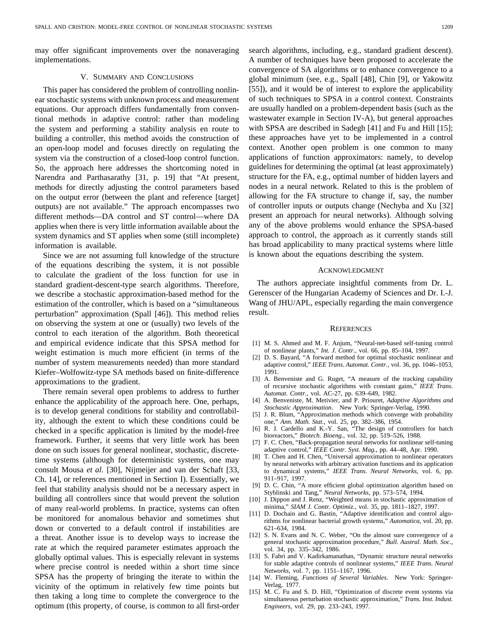may offer significant improvements over the nonaveraging implementations.

## V. SUMMARY AND CONCLUSIONS

This paper has considered the problem of controlling nonlinear stochastic systems with unknown process and measurement equations. Our approach differs fundamentally from conventional methods in adaptive control: rather than modeling the system and performing a stability analysis en route to building a controller, this method avoids the construction of an open-loop model and focuses directly on regulating the system via the construction of a closed-loop control function. So, the approach here addresses the shortcoming noted in Narendra and Parthasarathy [31, p. 19] that "At present, methods for directly adjusting the control parameters based on the output error (between the plant and reference [target] outputs) are not available." The approach encompasses two different methods—DA control and ST control—where DA applies when there is very little information available about the system dynamics and ST applies when some (still incomplete) information is available.

Since we are not assuming full knowledge of the structure of the equations describing the system, it is not possible to calculate the gradient of the loss function for use in standard gradient-descent-type search algorithms. Therefore, we describe a stochastic approximation-based method for the estimation of the controller, which is based on a "simultaneous perturbation" approximation (Spall [46]). This method relies on observing the system at one or (usually) two levels of the control to each iteration of the algorithm. Both theoretical and empirical evidence indicate that this SPSA method for weight estimation is much more efficient (in terms of the number of system measurements needed) than more standard Kiefer–Wolfowitz-type SA methods based on finite-difference approximations to the gradient.

There remain several open problems to address to further enhance the applicability of the approach here. One, perhaps, is to develop general conditions for stability and controllability, although the extent to which these conditions could be checked in a specific application is limited by the model-free framework. Further, it seems that very little work has been done on such issues for general nonlinear, stochastic, discretetime systems (although for deterministic systems, one may consult Mousa *et al.* [30], Nijmeijer and van der Schaft [33, Ch. 14], or references mentioned in Section I). Essentially, we feel that stability analysis should not be a necessary aspect in building all controllers since that would prevent the solution of many real-world problems. In practice, systems can often be monitored for anomalous behavior and sometimes shut down or converted to a default control if instabilities are a threat. Another issue is to develop ways to increase the rate at which the required parameter estimates approach the globally optimal values. This is especially relevant in systems where precise control is needed within a short time since SPSA has the property of bringing the iterate to within the vicinity of the optimum in relatively few time points but then taking a long time to complete the convergence to the optimum (this property, of course, is common to all first-order search algorithms, including, e.g., standard gradient descent). A number of techniques have been proposed to accelerate the convergence of SA algorithms or to enhance convergence to a global minimum (see, e.g., Spall [48], Chin [9], or Yakowitz [55]), and it would be of interest to explore the applicability of such techniques to SPSA in a control context. Constraints are usually handled on a problem-dependent basis (such as the wastewater example in Section IV-A), but general approaches with SPSA are described in Sadegh [41] and Fu and Hill [15]; these approaches have yet to be implemented in a control context. Another open problem is one common to many applications of function approximators: namely, to develop guidelines for determining the optimal (at least approximately) structure for the FA, e.g., optimal number of hidden layers and nodes in a neural network. Related to this is the problem of allowing for the FA structure to change if, say, the number of controller inputs or outputs change (Nechyba and Xu [32] present an approach for neural networks). Although solving any of the above problems would enhance the SPSA-based approach to control, the approach as it currently stands still has broad applicability to many practical systems where little is known about the equations describing the system.

### ACKNOWLEDGMENT

The authors appreciate insightful comments from Dr. L. Gerenscer of the Hungarian Academy of Sciences and Dr. I.-J. Wang of JHU/APL, especially regarding the main convergence result.

#### **REFERENCES**

- [1] M. S. Ahmed and M. F. Anjum, "Neural-net-based self-tuning control of nonlinear plants," *Int. J. Contr.*, vol. 66, pp. 85–104, 1997.
- [2] D. S. Bayard, "A forward method for optimal stochastic nonlinear and adaptive control," *IEEE Trans. Automat. Contr.*, vol. 36, pp. 1046–1053, 1991.
- [3] A. Benveniste and G. Ruget, "A measure of the tracking capability of recursive stochastic algorithms with constant gains," *IEEE Trans. Automat. Contr.*, vol. AC-27, pp. 639–649, 1982.
- [4] A. Benveniste, M. Metivier, and P. Priouret, *Adaptive Algorithms and Stochastic Approximation*. New York: Springer-Verlag, 1990.
- [5] J. R. Blum, "Approximation methods which converge with probability one," *Ann. Math. Stat.*, vol. 25, pp. 382–386, 1954.
- [6] R. J. Cardello and K.-Y. San, "The design of controllers for batch bioreactors," *Biotech. Bioeng.*, vol. 32, pp. 519–526, 1988.
- [7] F. C. Chen, "Back-propagation neural networks for nonlinear self-tuning adaptive control," *IEEE Contr. Syst. Mag.*, pp. 44–48, Apr. 1990.
- [8] T. Chen and H. Chen, "Universal approximation to nonlinear operators by neural networks with arbitrary activation functions and its application to dynamical systems," *IEEE Trans. Neural Networks*, vol. 6, pp. 911–917, 1997.
- [9] D. C. Chin, "A more efficient global optimization algorithm based on Styblinski and Tang," *Neural Networks*, pp. 573–574, 1994.
- [10] J. Dippon and J. Renz, "Weighted means in stochastic approximation of minima," *SIAM J. Contr. Optimiz.*, vol. 35, pp. 1811–1827, 1997.
- [11] D. Dochain and G. Bastin, "Adaptive identification and control algorithms for nonlinear bacterial growth systems," *Automatica*, vol. 20, pp. 621–634, 1984.
- [12] S. N. Evans and N. C. Weber, "On the almost sure convergence of a general stochastic approximation procedure," *Bull. Austral. Math. Soc.*, vol. 34, pp. 335–342, 1986.
- [13] S. Fabri and V. Kadirkamanathan, "Dynamic structure neural networks for stable adaptive controls of nonlinear systems," *IEEE Trans. Neural Networks*, vol. 7, pp. 1151–1167, 1996.
- [14] W. Fleming, *Functions of Several Variables*. New York: Springer-Verlag, 1977.
- [15] M. C. Fu and S. D. Hill, "Optimization of discrete event systems via simultaneous perturbation stochastic approximation," *Trans. Inst. Indust. Engineers*, vol. 29, pp. 233–243, 1997.